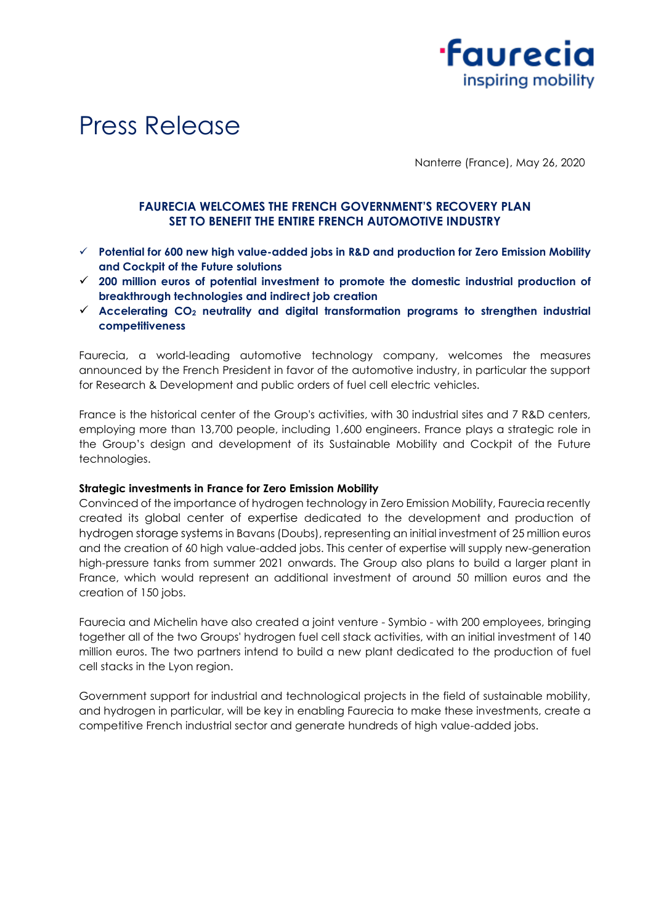



Nanterre (France), May 26, 2020

## **FAURECIA WELCOMES THE FRENCH GOVERNMENT'S RECOVERY PLAN SET TO BENEFIT THE ENTIRE FRENCH AUTOMOTIVE INDUSTRY**

- ✓ **Potential for 600 new high value-added jobs in R&D and production for Zero Emission Mobility and Cockpit of the Future solutions**
- ✓ **200 million euros of potential investment to promote the domestic industrial production of breakthrough technologies and indirect job creation**
- ✓ **Accelerating CO<sup>2</sup> neutrality and digital transformation programs to strengthen industrial competitiveness**

Faurecia, a world-leading automotive technology company, welcomes the measures announced by the French President in favor of the automotive industry, in particular the support for Research & Development and public orders of fuel cell electric vehicles.

France is the historical center of the Group's activities, with 30 industrial sites and 7 R&D centers, employing more than 13,700 people, including 1,600 engineers. France plays a strategic role in the Group's design and development of its Sustainable Mobility and Cockpit of the Future technologies.

## **Strategic investments in France for Zero Emission Mobility**

Convinced of the importance of hydrogen technology in Zero Emission Mobility, Faurecia recently created its global center of expertise dedicated to the development and production of hydrogen storage systems in Bavans (Doubs), representing an initial investment of 25 million euros and the creation of 60 high value-added jobs. This center of expertise will supply new-generation high-pressure tanks from summer 2021 onwards. The Group also plans to build a larger plant in France, which would represent an additional investment of around 50 million euros and the creation of 150 jobs.

Faurecia and Michelin have also created a joint venture - Symbio - with 200 employees, bringing together all of the two Groups' hydrogen fuel cell stack activities, with an initial investment of 140 million euros. The two partners intend to build a new plant dedicated to the production of fuel cell stacks in the Lyon region.

Government support for industrial and technological projects in the field of sustainable mobility, and hydrogen in particular, will be key in enabling Faurecia to make these investments, create a competitive French industrial sector and generate hundreds of high value-added jobs.